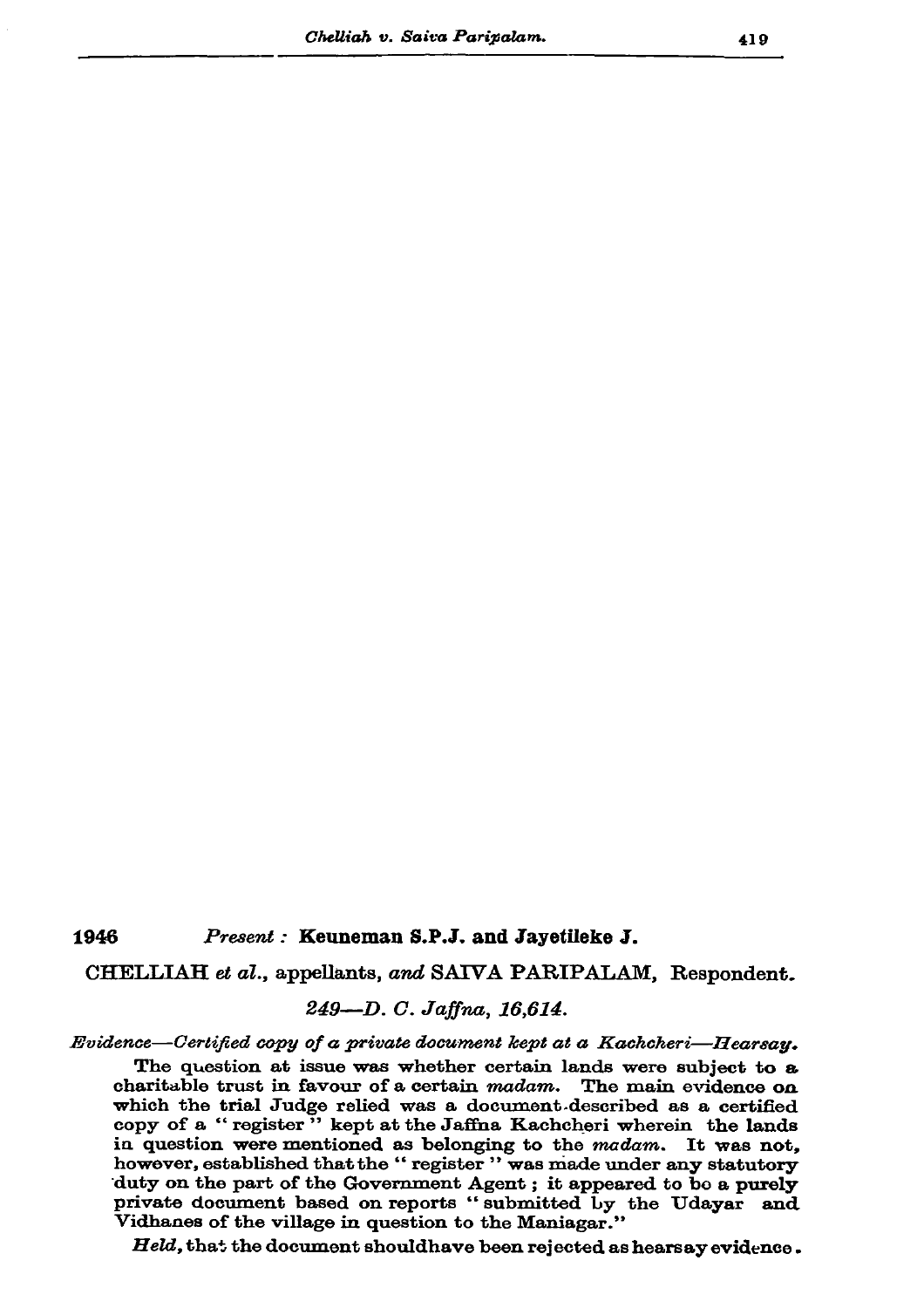## 1946 Present : Keuneman S.P.J. and Jayetileke J.

CHELLIAH et al., appellants, and SAIVA PARIPALAM, Respondent.

## 249-D. C. Jaffna, 16,614.

Evidence—Certified copy of a private document kept at a Kachcheri—Hearsay.

The question at issue was whether certain lands were subject to a charitable trust in favour of a certain madam. The main evidence on which the trial Judge relied was a document described as a certified copy of a "register" kept at the Jaffna Kachcheri wherein the lands in question were mentioned as belonging to the madam. It was not, however, established that the "register" was made under any statutory duty on the part of the Government Agent; it appeared to be a purely private document based on reports "submitted by the Udayar and Vidhanes of the village in question to the Maniagar."

Held, that the document should have been rejected as hearsay evidence.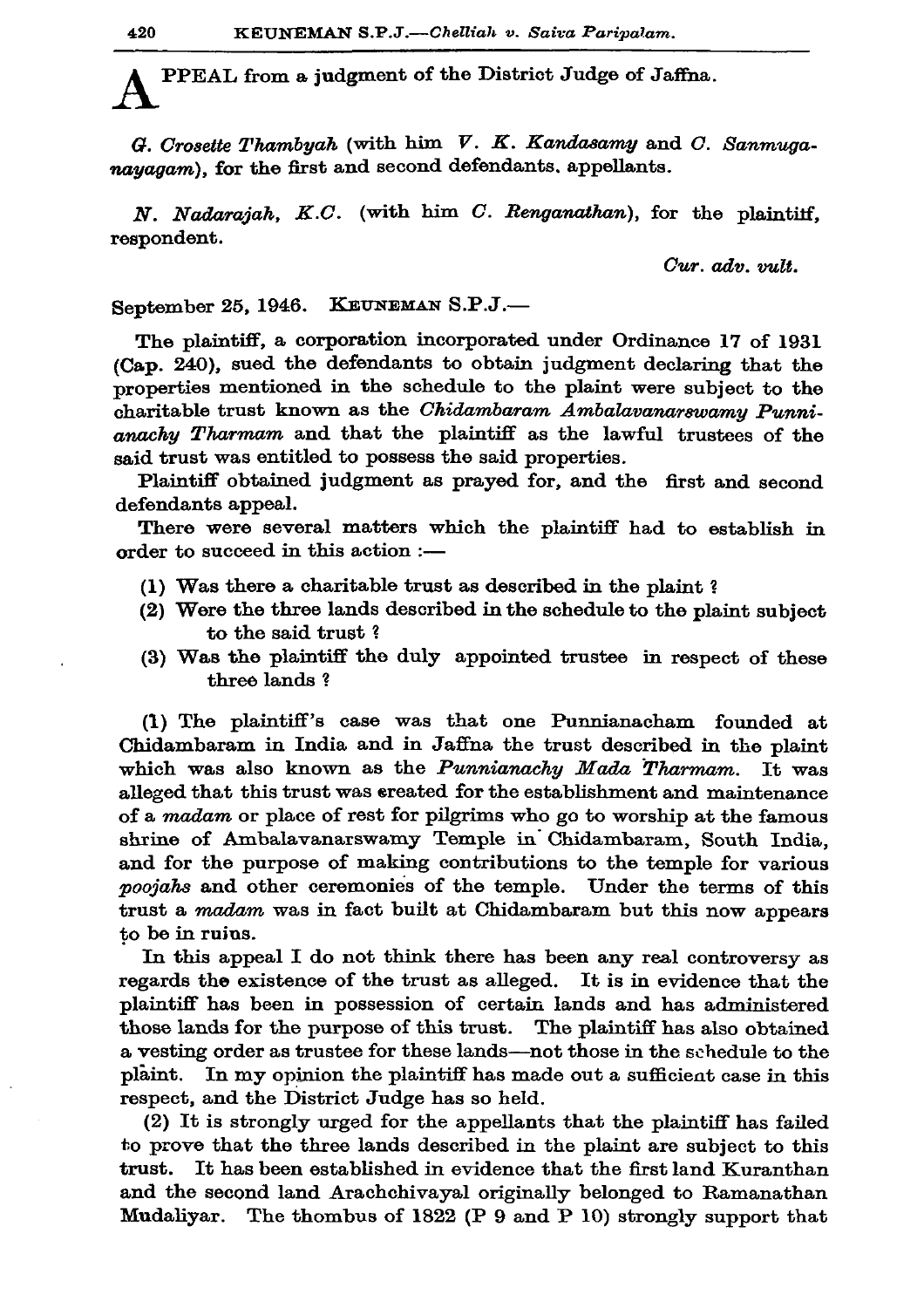PPEAL from a judgment of the District Judge of Jaffna.

G. Crosette Thambyah (with him  $V$ . K. Kandasamy and C. Sanmuganayagam), for the first and second defendants, appellants.

 $N.$  Nadaraiah,  $K.C.$  (with him  $C.$  Renganathan), for the plaintiff. respondent.

Cur. adv. vult.

September 25, 1946. KEUNEMAN S.P.J.-

The plaintiff, a corporation incorporated under Ordinance 17 of 1931 (Cap. 240), sued the defendants to obtain judgment declaring that the properties mentioned in the schedule to the plaint were subject to the charitable trust known as the Chidambaram Ambalavanarswamy Punnianachy Tharmam and that the plaintiff as the lawful trustees of the said trust was entitled to possess the said properties.

Plaintiff obtained judgment as prayed for, and the first and second defendants appeal.

There were several matters which the plaintiff had to establish in order to succeed in this action :-

- (1) Was there a charitable trust as described in the plaint?
- (2) Were the three lands described in the schedule to the plaint subject to the said trust?
- (3) Was the plaintiff the duly appointed trustee in respect of these three lands?

(1) The plaintiff's case was that one Punnianacham founded at Chidambaram in India and in Jaffna the trust described in the plaint which was also known as the Punnianachy Mada Tharmam. It was alleged that this trust was created for the establishment and maintenance of a madam or place of rest for pilgrims who go to worship at the famous shrine of Ambalavanarswamy Temple in Chidambaram, South India, and for the purpose of making contributions to the temple for various poojahs and other ceremonies of the temple. Under the terms of this trust a madam was in fact built at Chidambaram but this now appears to be in ruins.

In this appeal I do not think there has been any real controversy as regards the existence of the trust as alleged. It is in evidence that the plaintiff has been in possession of certain lands and has administered those lands for the purpose of this trust. The plaintiff has also obtained a vesting order as trustee for these lands—not those in the schedule to the plaint. In my opinion the plaintiff has made out a sufficient case in this respect, and the District Judge has so held.

(2) It is strongly urged for the appellants that the plaintiff has failed to prove that the three lands described in the plaint are subject to this It has been established in evidence that the first land Kuranthan trust. and the second land Arachchivayal originally belonged to Ramanathan Mudaliyar. The thombus of 1822 (P 9 and P 10) strongly support that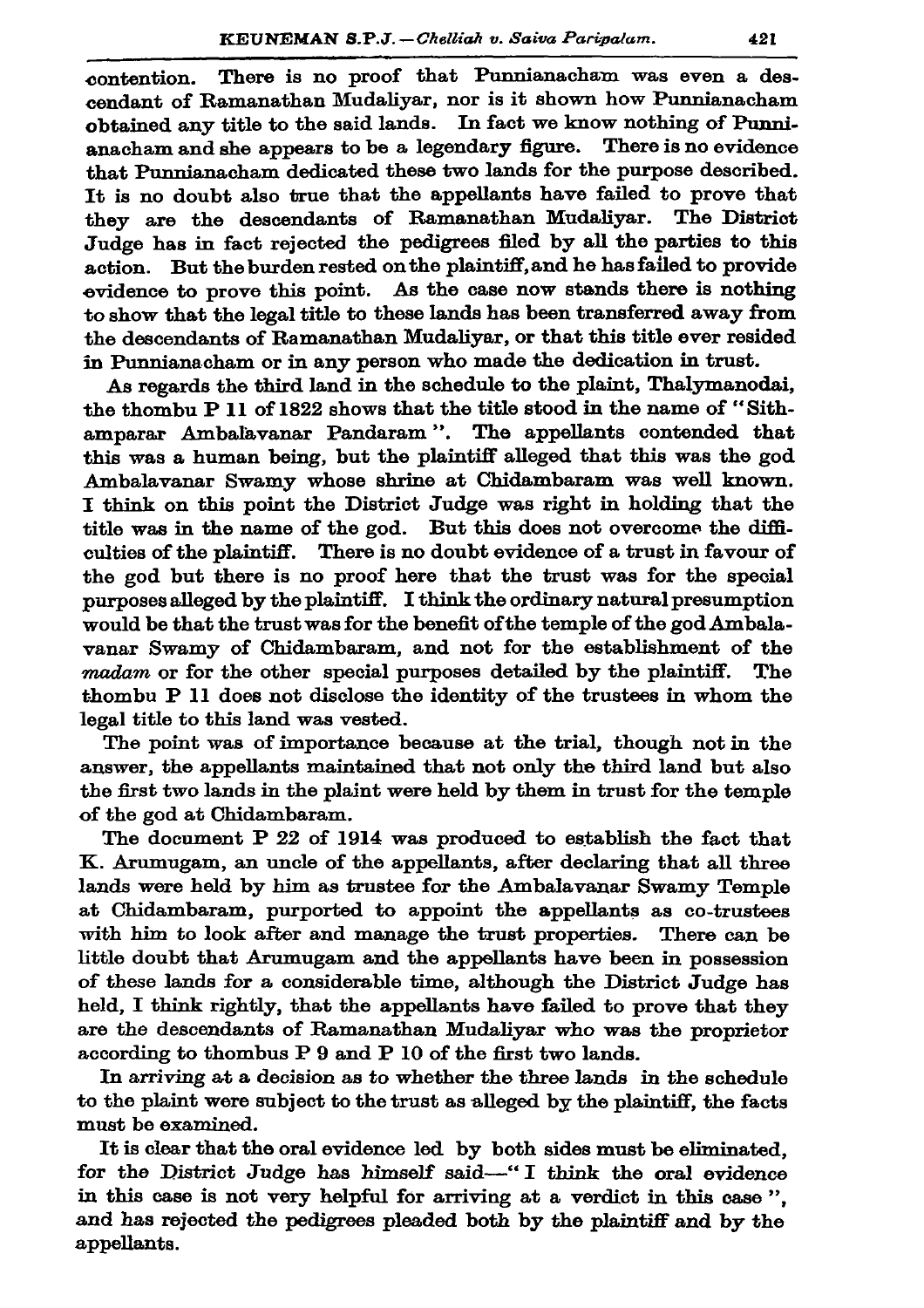There is no proof that Punnianacham was even a descontention. cendant of Ramanathan Mudaliyar, nor is it shown how Punnianacham obtained any title to the said lands. In fact we know nothing of Punnianacham and she appears to be a legendary figure. There is no evidence that Punnianacham dedicated these two lands for the purpose described. It is no doubt also true that the appellants have failed to prove that they are the descendants of Ramanathan Mudaliyar. The District Judge has in fact rejected the pedigrees filed by all the parties to this action. But the burden rested on the plaintiff, and he has failed to provide evidence to prove this point. As the case now stands there is nothing to show that the legal title to these lands has been transferred away from the descendants of Ramanathan Mudaliyar, or that this title ever resided in Punnianacham or in any person who made the dedication in trust.

As regards the third land in the schedule to the plaint, Thalymanodai, the thombu P 11 of 1822 shows that the title stood in the name of "Sithamparar Ambalayanar Pandaram". The appellants contended that this was a human being, but the plaintiff alleged that this was the god Ambalavanar Swamy whose shrine at Chidambaram was well known. I think on this point the District Judge was right in holding that the title was in the name of the god. But this does not overcome the difficulties of the plaintiff. There is no doubt evidence of a trust in favour of the god but there is no proof here that the trust was for the special purposes alleged by the plaintiff. I think the ordinary natural presumption would be that the trust was for the benefit of the temple of the god Ambalavanar Swamy of Chidambaram, and not for the establishment of the madam or for the other special purposes detailed by the plaintiff. The thombu P 11 does not disclose the identity of the trustees in whom the legal title to this land was vested.

The point was of importance because at the trial, though not in the answer, the appellants maintained that not only the third land but also the first two lands in the plaint were held by them in trust for the temple of the god at Chidambaram.

The document P 22 of 1914 was produced to establish the fact that K. Arumugam, an uncle of the appellants, after declaring that all three lands were held by him as trustee for the Ambalavanar Swamy Temple at Chidambaram, purported to appoint the appellants as co-trustees with him to look after and manage the trust properties. There can be little doubt that Arumugam and the appellants have been in possession of these lands for a considerable time, although the District Judge has held. I think rightly, that the appellants have failed to prove that they are the descendants of Ramanathan Mudalivar who was the proprietor according to thombus P 9 and P 10 of the first two lands.

In arriving at a decision as to whether the three lands in the schedule to the plaint were subject to the trust as alleged by the plaintiff, the facts must be examined.

It is clear that the oral evidence led by both sides must be eliminated, for the District Judge has himself said-"I think the oral evidence in this case is not very helpful for arriving at a verdict in this case". and has rejected the pedigrees pleaded both by the plaintiff and by the appellants.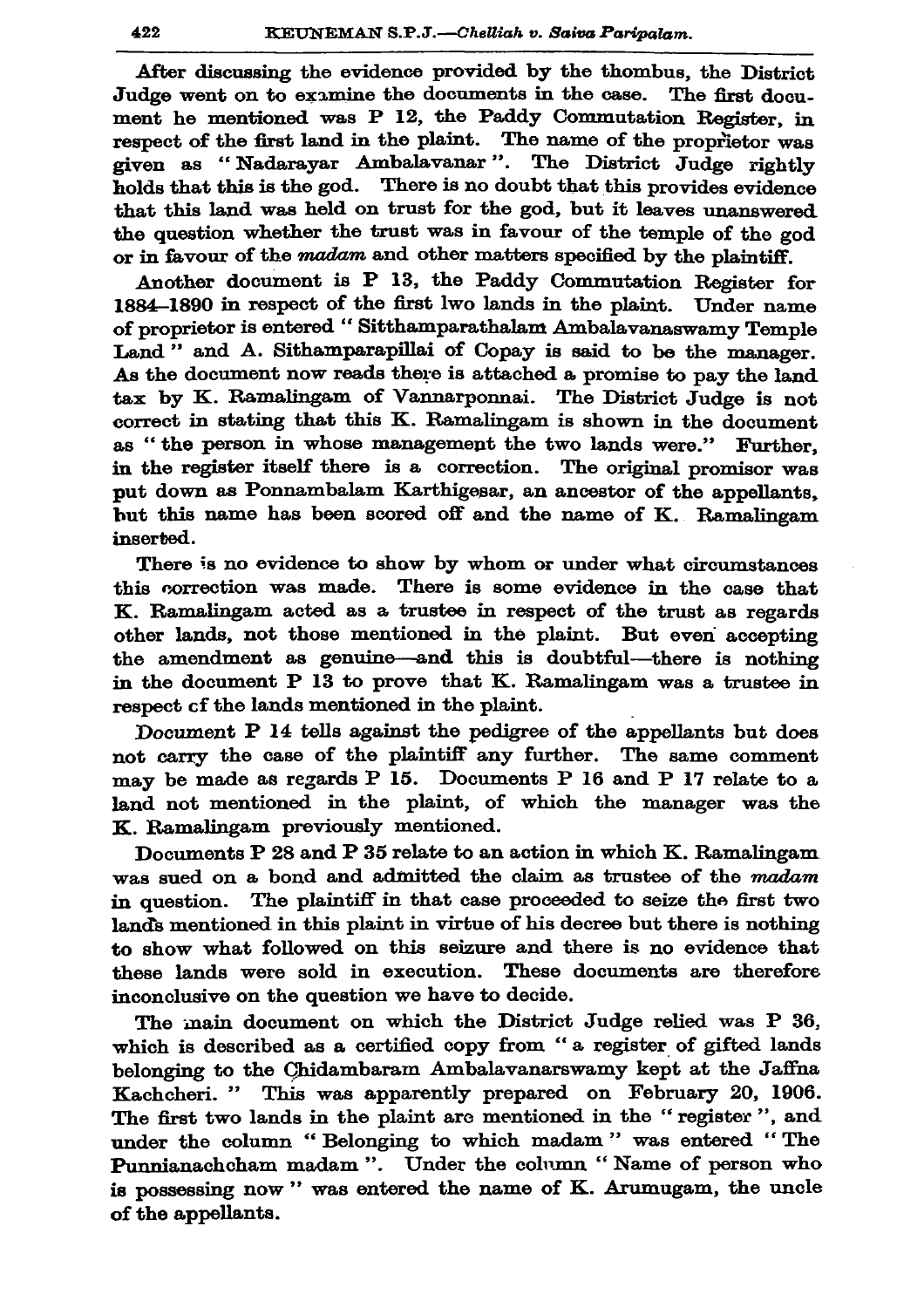After discussing the evidence provided by the thombus, the District Judge went on to examine the documents in the case. The first document he mentioned was P 12, the Paddy Commutation Register, in respect of the first land in the plaint. The name of the proprietor was given as "Nadarayar Ambalayanar". The District Judge rightly holds that this is the god. There is no doubt that this provides evidence that this land was held on trust for the god, but it leaves unanswered the question whether the trust was in favour of the temple of the god or in favour of the madam and other matters specified by the plaintiff.

Another document is P 13, the Paddy Commutation Register for 1884-1890 in respect of the first lwo lands in the plaint. Under name of proprietor is entered "Sitthamparathalam Ambalavanaswamy Temple Land" and A. Sithamparapillai of Copay is said to be the manager. As the document now reads there is attached a promise to pay the land tax by K. Ramalingam of Vannarponnai. The District Judge is not correct in stating that this K. Ramalingam is shown in the document as "the person in whose management the two lands were." Further. in the register itself there is a correction. The original promisor was put down as Ponnambalam Karthigesar, an ancestor of the appellants. but this name has been scored off and the name of K. Ramalingam inserted.

There is no evidence to show by whom or under what circumstances this correction was made. There is some evidence in the case that K. Ramalingam acted as a trustee in respect of the trust as regards other lands, not those mentioned in the plaint. But even accepting the amendment as genuine—and this is doubtful—there is nothing in the document P 13 to prove that K. Ramalingam was a trustee in respect of the lands mentioned in the plaint.

Document P 14 tells against the pedigree of the appellants but does not carry the case of the plaintiff any further. The same comment may be made as regards P 15. Documents P 16 and P 17 relate to a land not mentioned in the plaint, of which the manager was the K. Ramalingam previously mentioned.

Documents P 28 and P 35 relate to an action in which K. Ramalingam was sued on a bond and admitted the claim as trustee of the madam in question. The plaintiff in that case proceeded to seize the first two lands mentioned in this plaint in virtue of his decree but there is nothing to show what followed on this seizure and there is no evidence that these lands were sold in execution. These documents are therefore inconclusive on the question we have to decide.

The main document on which the District Judge relied was P 36, which is described as a certified copy from "a register of gifted lands belonging to the Chidambaram Ambalavanarswamy kept at the Jaffna Kachcheri. " This was apparently prepared on February 20, 1906. The first two lands in the plaint are mentioned in the "register", and under the column "Belonging to which madam" was entered "The Punnianachcham madam ". Under the column "Name of person who is possessing now" was entered the name of K. Arumugam, the uncle of the appellants.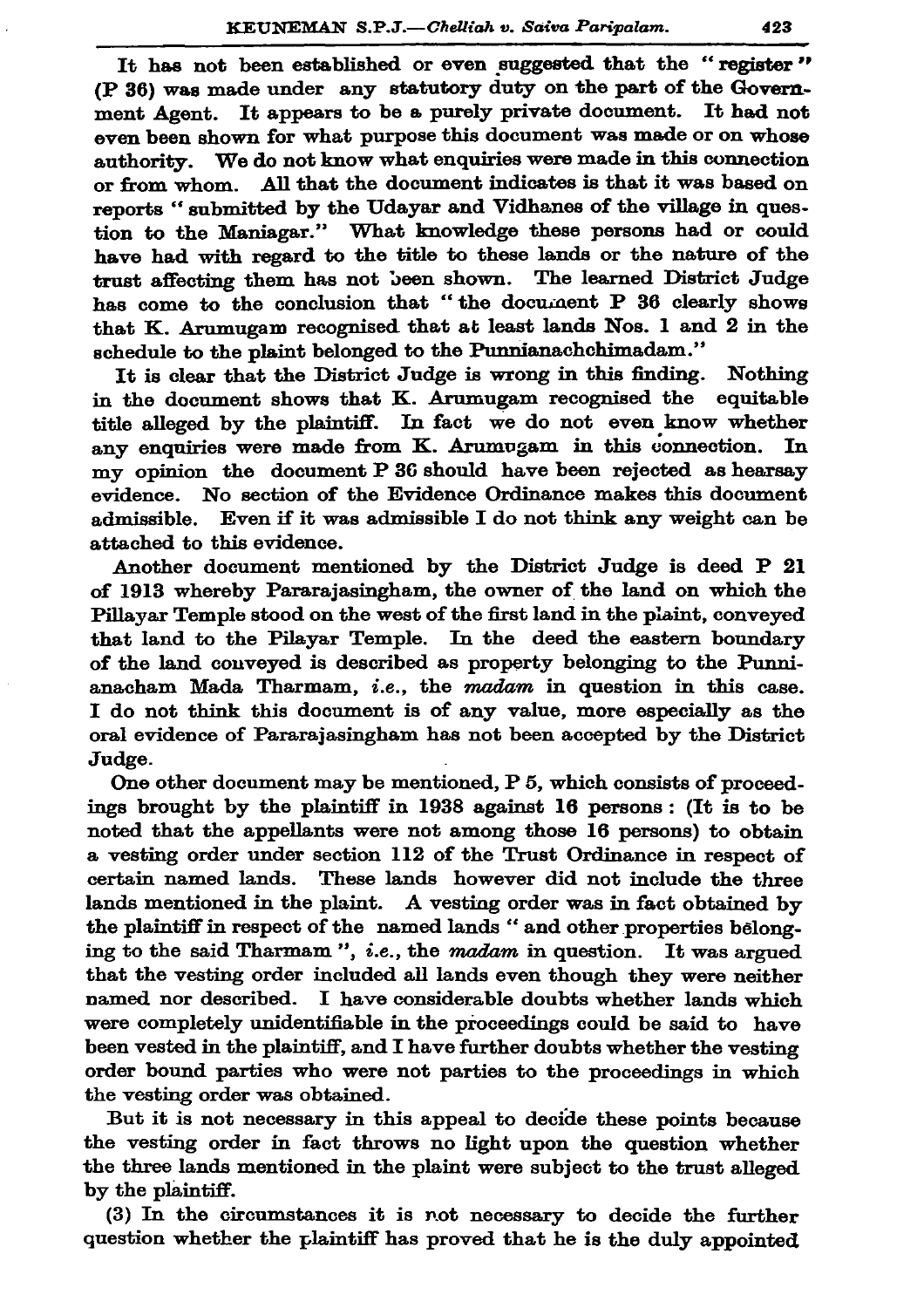It has not been established or even suggested that the "register" (P 36) was made under any statutory duty on the part of the Government Agent. It appears to be a purely private document. It had not even been shown for what purpose this document was made or on whose authority. We do not know what enquiries were made in this connection or from whom. All that the document indicates is that it was based on reports "submitted by the Udayar and Vidhanes of the village in question to the Maniagar." What knowledge these persons had or could have had with regard to the title to these lands or the nature of the trust affecting them has not been shown. The learned District Judge has come to the conclusion that "the document P 36 clearly shows that K. Arumugam recognised that at least lands Nos. 1 and 2 in the schedule to the plaint belonged to the Punnianachchimadam."

It is clear that the District Judge is wrong in this finding. Nothing in the document shows that K. Arumugam recognised the equitable title alleged by the plaintiff. In fact we do not even know whether any enquiries were made from K. Arumugam in this connection. In my opinion the document P 36 should have been rejected as hearsay No section of the Evidence Ordinance makes this document evidence. admissible. Even if it was admissible I do not think any weight can be attached to this evidence.

Another document mentioned by the District Judge is deed P 21 of 1913 whereby Pararajasingham, the owner of the land on which the Pillayar Temple stood on the west of the first land in the plaint, conveyed that land to the Pilayar Temple. In the deed the eastern boundary of the land conveyed is described as property belonging to the Punnianacham Mada Tharmam, *i.e.*, the madam in question in this case. I do not think this document is of any value, more especially as the oral evidence of Pararajasingham has not been accepted by the District Judge.

One other document may be mentioned, P 5, which consists of proceedings brought by the plaintiff in 1938 against 16 persons: (It is to be noted that the appellants were not among those 16 persons) to obtain a vesting order under section 112 of the Trust Ordinance in respect of certain named lands. These lands however did not include the three lands mentioned in the plaint. A vesting order was in fact obtained by the plaintiff in respect of the named lands " and other properties belonging to the said Tharmam", *i.e.*, the *madam* in question. It was argued that the vesting order included all lands even though they were neither named nor described. I have considerable doubts whether lands which were completely unidentifiable in the proceedings could be said to have been vested in the plaintiff, and I have further doubts whether the vesting order bound parties who were not parties to the proceedings in which the vesting order was obtained.

But it is not necessary in this appeal to decide these points because the vesting order in fact throws no light upon the question whether the three lands mentioned in the plaint were subject to the trust alleged by the plaintiff.

(3) In the circumstances it is not necessary to decide the further question whether the plaintiff has proved that he is the duly appointed